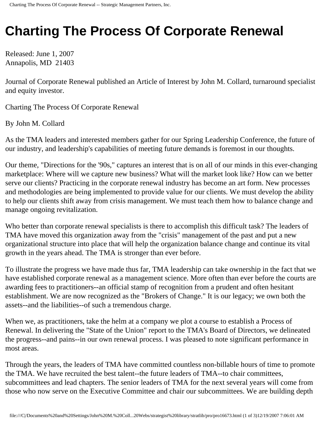## **Charting The Process Of Corporate Renewal**

Released: June 1, 2007 Annapolis, MD 21403

Journal of Corporate Renewal published an Article of Interest by John M. Collard, turnaround specialist and equity investor.

Charting The Process Of Corporate Renewal

By John M. Collard

As the TMA leaders and interested members gather for our Spring Leadership Conference, the future of our industry, and leadership's capabilities of meeting future demands is foremost in our thoughts.

Our theme, "Directions for the '90s," captures an interest that is on all of our minds in this ever-changing marketplace: Where will we capture new business? What will the market look like? How can we better serve our clients? Practicing in the corporate renewal industry has become an art form. New processes and methodologies are being implemented to provide value for our clients. We must develop the ability to help our clients shift away from crisis management. We must teach them how to balance change and manage ongoing revitalization.

Who better than corporate renewal specialists is there to accomplish this difficult task? The leaders of TMA have moved this organization away from the "crisis" management of the past and put a new organizational structure into place that will help the organization balance change and continue its vital growth in the years ahead. The TMA is stronger than ever before.

To illustrate the progress we have made thus far, TMA leadership can take ownership in the fact that we have established corporate renewal as a management science. More often than ever before the courts are awarding fees to practitioners--an official stamp of recognition from a prudent and often hesitant establishment. We are now recognized as the "Brokers of Change." It is our legacy; we own both the assets--and the liabilities--of such a tremendous charge.

When we, as practitioners, take the helm at a company we plot a course to establish a Process of Renewal. In delivering the "State of the Union" report to the TMA's Board of Directors, we delineated the progress--and pains--in our own renewal process. I was pleased to note significant performance in most areas.

Through the years, the leaders of TMA have committed countless non-billable hours of time to promote the TMA. We have recruited the best talent--the future leaders of TMA--to chair committees, subcommittees and lead chapters. The senior leaders of TMA for the next several years will come from those who now serve on the Executive Committee and chair our subcommittees. We are building depth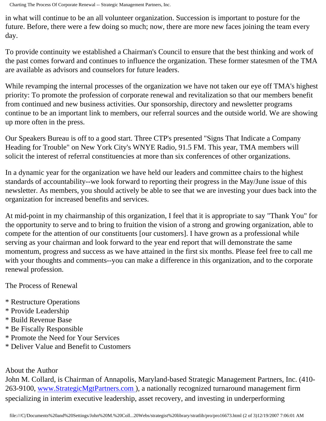Charting The Process Of Corporate Renewal -- Strategic Management Partners, Inc.

in what will continue to be an all volunteer organization. Succession is important to posture for the future. Before, there were a few doing so much; now, there are more new faces joining the team every day.

To provide continuity we established a Chairman's Council to ensure that the best thinking and work of the past comes forward and continues to influence the organization. These former statesmen of the TMA are available as advisors and counselors for future leaders.

While revamping the internal processes of the organization we have not taken our eye off TMA's highest priority: To promote the profession of corporate renewal and revitalization so that our members benefit from continued and new business activities. Our sponsorship, directory and newsletter programs continue to be an important link to members, our referral sources and the outside world. We are showing up more often in the press.

Our Speakers Bureau is off to a good start. Three CTP's presented "Signs That Indicate a Company Heading for Trouble" on New York City's WNYE Radio, 91.5 FM. This year, TMA members will solicit the interest of referral constituencies at more than six conferences of other organizations.

In a dynamic year for the organization we have held our leaders and committee chairs to the highest standards of accountability--we look forward to reporting their progress in the May/June issue of this newsletter. As members, you should actively be able to see that we are investing your dues back into the organization for increased benefits and services.

At mid-point in my chairmanship of this organization, I feel that it is appropriate to say "Thank You" for the opportunity to serve and to bring to fruition the vision of a strong and growing organization, able to compete for the attention of our constituents [our customers]. I have grown as a professional while serving as your chairman and look forward to the year end report that will demonstrate the same momentum, progress and success as we have attained in the first six months. Please feel free to call me with your thoughts and comments--you can make a difference in this organization, and to the corporate renewal profession.

The Process of Renewal

- \* Restructure Operations
- \* Provide Leadership
- \* Build Revenue Base
- \* Be Fiscally Responsible
- \* Promote the Need for Your Services
- \* Deliver Value and Benefit to Customers

## About the Author

John M. Collard, is Chairman of Annapolis, Maryland-based Strategic Management Partners, Inc. (410- 263-9100, [www.StrategicMgtPartners.com](http://www.strategicmgtpartners.com/) ), a nationally recognized turnaround management firm specializing in interim executive leadership, asset recovery, and investing in underperforming